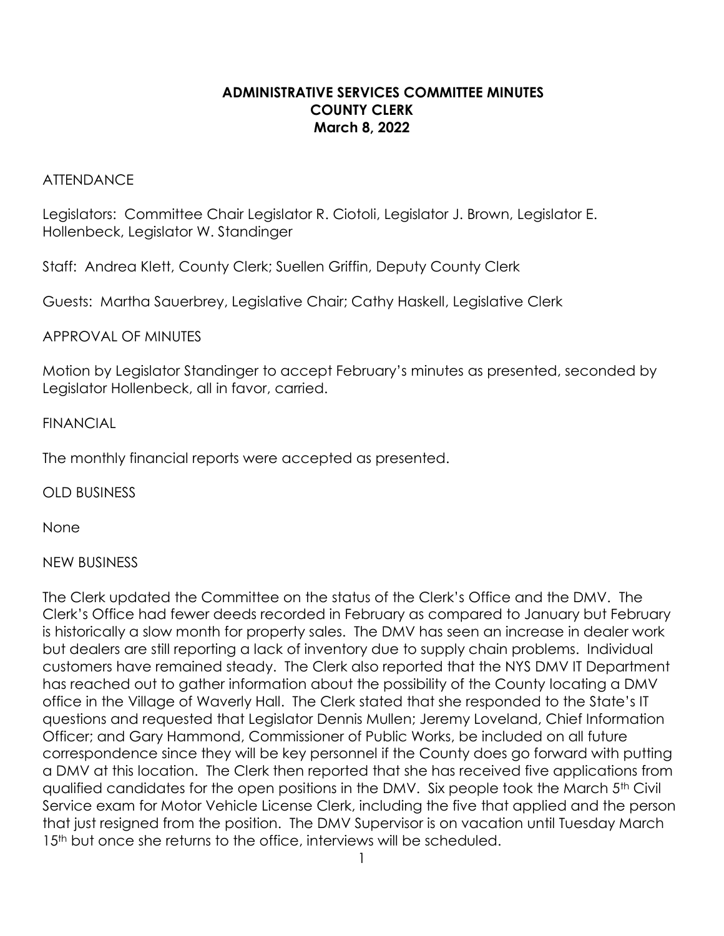## **ADMINISTRATIVE SERVICES COMMITTEE MINUTES COUNTY CLERK March 8, 2022**

#### **ATTENDANCE**

Legislators:Committee Chair Legislator R. Ciotoli, Legislator J. Brown, Legislator E. Hollenbeck, Legislator W. Standinger

Staff: Andrea Klett, County Clerk; Suellen Griffin, Deputy County Clerk

Guests: Martha Sauerbrey, Legislative Chair; Cathy Haskell, Legislative Clerk

APPROVAL OF MINUTES

Motion by Legislator Standinger to accept February's minutes as presented, seconded by Legislator Hollenbeck, all in favor, carried.

### FINANCIAL

The monthly financial reports were accepted as presented.

OLD BUSINESS

None

## NEW BUSINESS

The Clerk updated the Committee on the status of the Clerk's Office and the DMV. The Clerk's Office had fewer deeds recorded in February as compared to January but February is historically a slow month for property sales. The DMV has seen an increase in dealer work but dealers are still reporting a lack of inventory due to supply chain problems. Individual customers have remained steady. The Clerk also reported that the NYS DMV IT Department has reached out to gather information about the possibility of the County locating a DMV office in the Village of Waverly Hall. The Clerk stated that she responded to the State's IT questions and requested that Legislator Dennis Mullen; Jeremy Loveland, Chief Information Officer; and Gary Hammond, Commissioner of Public Works, be included on all future correspondence since they will be key personnel if the County does go forward with putting a DMV at this location. The Clerk then reported that she has received five applications from qualified candidates for the open positions in the DMV. Six people took the March 5th Civil Service exam for Motor Vehicle License Clerk, including the five that applied and the person that just resigned from the position. The DMV Supervisor is on vacation until Tuesday March 15<sup>th</sup> but once she returns to the office, interviews will be scheduled.